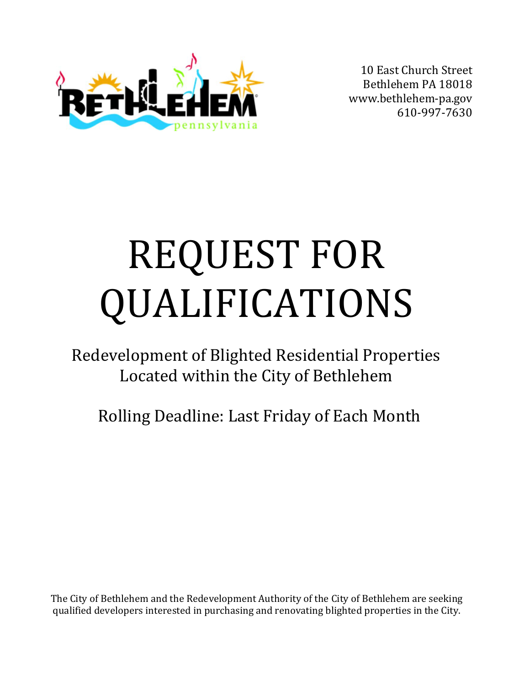

10 East Church Street Bethlehem PA 1801[8](http://www.bethlehem-pa.gov/) [www.bethlehem-pa.gov](http://www.bethlehem-pa.gov/) 610-997-7630

# REQUEST FOR QUALIFICATIONS

Redevelopment of Blighted Residential Properties Located within the City of Bethlehem

Rolling Deadline: Last Friday of Each Month

The City of Bethlehem and the Redevelopment Authority of the City of Bethlehem are seeking qualified developers interested in purchasing and renovating blighted properties in the City.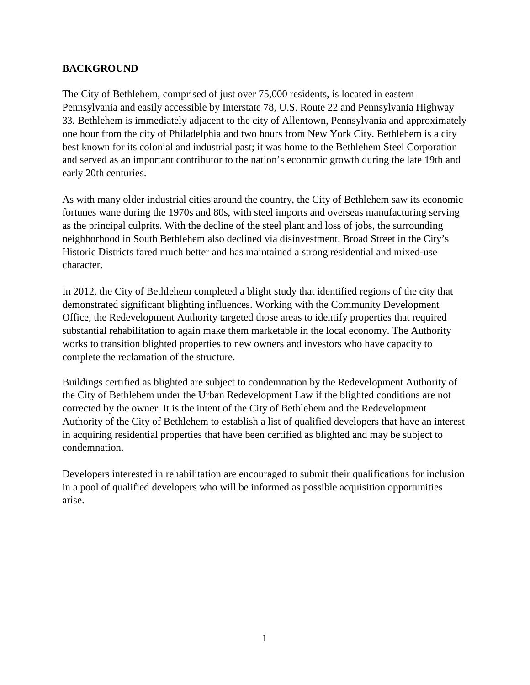## **BACKGROUND**

The City of Bethlehem, comprised of just over 75,000 residents, is located in eastern Pennsylvania and easily accessible by Interstate 78, U.S. Route 22 and Pennsylvania Highway 33. Bethlehem is immediately adjacent to the city of Allentown, Pennsylvania and approximately one hour from the city of Philadelphia and two hours from New York City. Bethlehem is a city best known for its colonial and industrial past; it was home to the Bethlehem Steel Corporation and served as an important contributor to the nation's economic growth during the late 19th and early 20th centuries.

As with many older industrial cities around the country, the City of Bethlehem saw its economic fortunes wane during the 1970s and 80s, with steel imports and overseas manufacturing serving as the principal culprits. With the decline of the steel plant and loss of jobs, the surrounding neighborhood in South Bethlehem also declined via disinvestment. Broad Street in the City's Historic Districts fared much better and has maintained a strong residential and mixed-use character.

In 2012, the City of Bethlehem completed a blight study that identified regions of the city that demonstrated significant blighting influences. Working with the Community Development Office, the Redevelopment Authority targeted those areas to identify properties that required substantial rehabilitation to again make them marketable in the local economy. The Authority works to transition blighted properties to new owners and investors who have capacity to complete the reclamation of the structure.

Buildings certified as blighted are subject to condemnation by the Redevelopment Authority of the City of Bethlehem under the Urban Redevelopment Law if the blighted conditions are not corrected by the owner. It is the intent of the City of Bethlehem and the Redevelopment Authority of the City of Bethlehem to establish a list of qualified developers that have an interest in acquiring residential properties that have been certified as blighted and may be subject to condemnation.

Developers interested in rehabilitation are encouraged to submit their qualifications for inclusion in a pool of qualified developers who will be informed as possible acquisition opportunities arise.